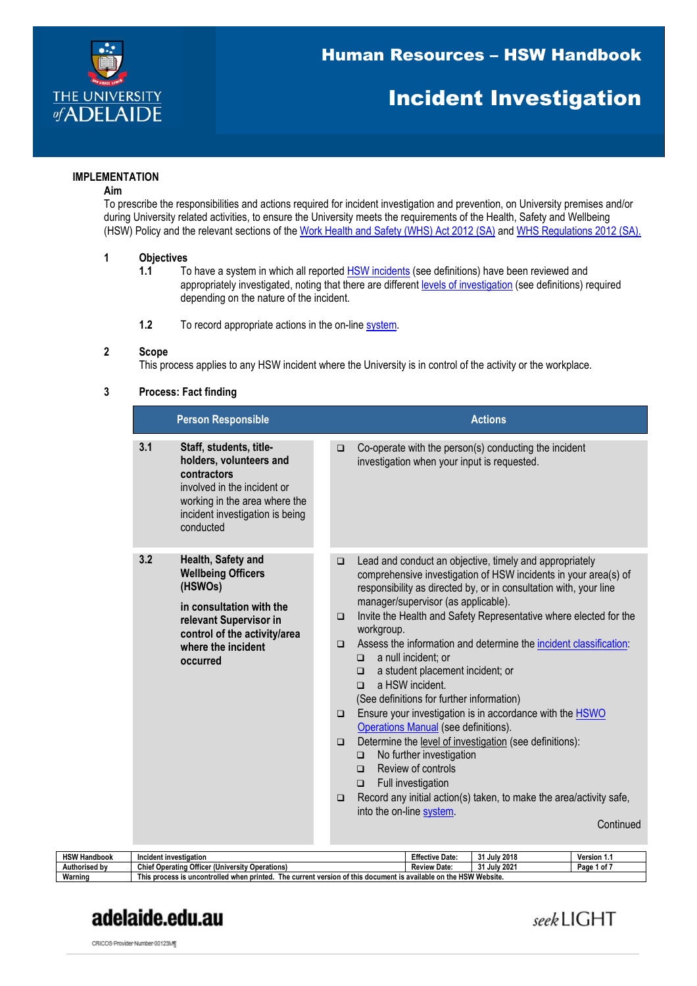

## Incident Investigation

#### **IMPLEMENTATION**

#### **Aim**

To prescribe the responsibilities and actions required for incident investigation and prevention, on University premises and/or during University related activities, to ensure the University meets the requirements of the Health, Safety and Wellbeing (HSW) Policy and the relevant sections of the [Work Health and Safety \(WHS\) Act 2012 \(SA\)](https://www.legislation.sa.gov.au/LZ/C/A/WORK%20HEALTH%20AND%20SAFETY%20ACT%202012.aspx) and [WHS Regulations 2012 \(SA\).](http://www.legislation.sa.gov.au/LZ/C/R/WORK%20HEALTH%20AND%20SAFETY%20REGULATIONS%202012.aspx)

# **1 Objectives**

- To have a system in which all reported **HSW** incidents (see definitions) have been reviewed and appropriately investigated, noting that there are different [levels of investigation](#page-5-0) (see definitions) required depending on the nature of the incident.
- **1.2** To record appropriate actions in the on-line [system.](https://unisafe.adelaide.edu.au/UniSafe/main)

#### **2 Scope**

This process applies to any HSW incident where the University is in control of the activity or the workplace.

#### **3 Process: Fact finding**

| <b>Person Responsible</b>                                                                                                                                                                 |                                                          | <b>Actions</b>                                                                                                                                                                                                                                                                                                                                                                                                                                                                                                                                                                                                                                                                                                                                                                                                                                                                                                                            |
|-------------------------------------------------------------------------------------------------------------------------------------------------------------------------------------------|----------------------------------------------------------|-------------------------------------------------------------------------------------------------------------------------------------------------------------------------------------------------------------------------------------------------------------------------------------------------------------------------------------------------------------------------------------------------------------------------------------------------------------------------------------------------------------------------------------------------------------------------------------------------------------------------------------------------------------------------------------------------------------------------------------------------------------------------------------------------------------------------------------------------------------------------------------------------------------------------------------------|
| 3.1<br>Staff, students, title-<br>holders, volunteers and<br>contractors<br>involved in the incident or<br>working in the area where the<br>incident investigation is being<br>conducted  | $\Box$                                                   | Co-operate with the person(s) conducting the incident<br>investigation when your input is requested.                                                                                                                                                                                                                                                                                                                                                                                                                                                                                                                                                                                                                                                                                                                                                                                                                                      |
| 3.2<br>Health, Safety and<br><b>Wellbeing Officers</b><br>(HSWOs)<br>in consultation with the<br>relevant Supervisor in<br>control of the activity/area<br>where the incident<br>occurred | $\Box$<br>$\Box$<br>$\Box$<br>$\Box$<br>$\Box$<br>$\Box$ | Lead and conduct an objective, timely and appropriately<br>comprehensive investigation of HSW incidents in your area(s) of<br>responsibility as directed by, or in consultation with, your line<br>manager/supervisor (as applicable).<br>Invite the Health and Safety Representative where elected for the<br>workgroup.<br>Assess the information and determine the incident classification:<br>a null incident; or<br>$\Box$<br>a student placement incident; or<br>□<br>a HSW incident.<br>$\Box$<br>(See definitions for further information)<br>Ensure your investigation is in accordance with the <b>HSWO</b><br>Operations Manual (see definitions).<br>Determine the level of investigation (see definitions):<br>No further investigation<br>$\Box$<br>Review of controls<br>◻<br>Full investigation<br>$\Box$<br>Record any initial action(s) taken, to make the area/activity safe,<br>into the on-line system.<br>Continued |

| <b>HSW Handbook</b> | Incident investigation                                                                         | <b>Effective Date:</b>     | 2018<br>۰,<br>, Julv | Version 1.   |
|---------------------|------------------------------------------------------------------------------------------------|----------------------------|----------------------|--------------|
| Authorised by       | ، Operating Officer (Universitv∶<br>Chief<br><b>Operations</b>                                 | <b>Review Date:</b>        | . July 2021<br>24    | Page<br>. of |
| Warning             | current version of this<br>s process is uncontrolled when printed<br>This<br>The<br>s document | t is available on the HSW. | "Website.            |              |

## adelaide.edu.au

seekLIGHT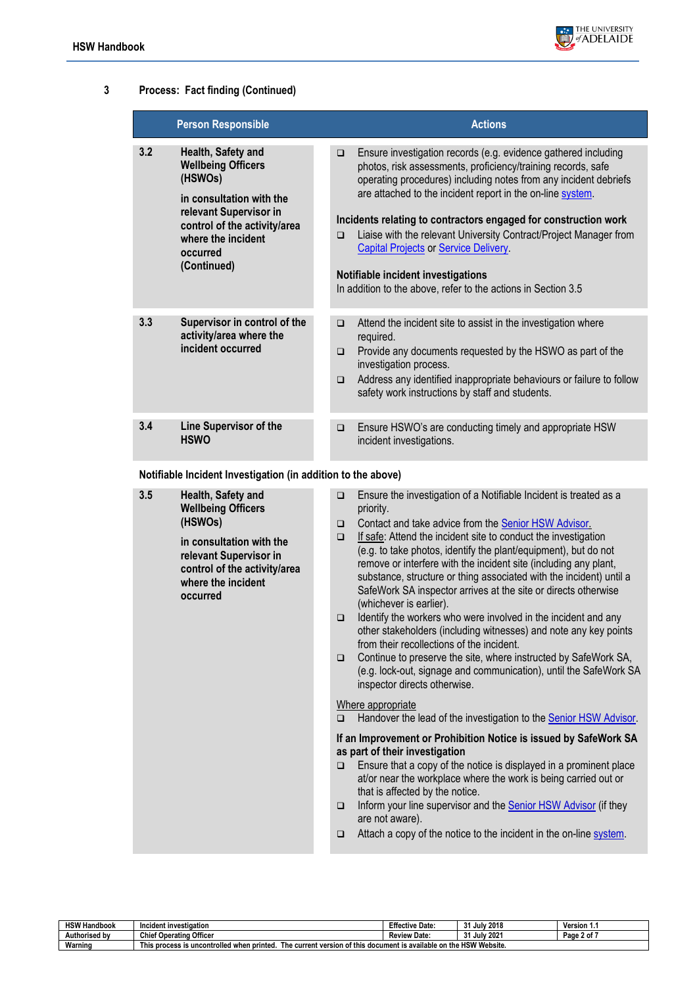

## **3 Process: Fact finding (Continued)**

|     | <b>Person Responsible</b>                                                                                                                                                                         | <b>Actions</b>                                                                                                                                                                                                                                                                                                                                                                                                                                                                                                                                                                      |
|-----|---------------------------------------------------------------------------------------------------------------------------------------------------------------------------------------------------|-------------------------------------------------------------------------------------------------------------------------------------------------------------------------------------------------------------------------------------------------------------------------------------------------------------------------------------------------------------------------------------------------------------------------------------------------------------------------------------------------------------------------------------------------------------------------------------|
| 3.2 | Health, Safety and<br><b>Wellbeing Officers</b><br>(HSWOs)<br>in consultation with the<br>relevant Supervisor in<br>control of the activity/area<br>where the incident<br>occurred<br>(Continued) | Ensure investigation records (e.g. evidence gathered including<br>$\Box$<br>photos, risk assessments, proficiency/training records, safe<br>operating procedures) including notes from any incident debriefs<br>are attached to the incident report in the on-line system.<br>Incidents relating to contractors engaged for construction work<br>Liaise with the relevant University Contract/Project Manager from<br>$\Box$<br><b>Capital Projects or Service Delivery.</b><br>Notifiable incident investigations<br>In addition to the above, refer to the actions in Section 3.5 |
| 3.3 | Supervisor in control of the<br>activity/area where the<br>incident occurred                                                                                                                      | Attend the incident site to assist in the investigation where<br>$\Box$<br>required.<br>Provide any documents requested by the HSWO as part of the<br>$\Box$<br>investigation process.<br>Address any identified inappropriate behaviours or failure to follow<br>$\Box$<br>safety work instructions by staff and students.                                                                                                                                                                                                                                                         |
| 3.4 | <b>Line Supervisor of the</b><br><b>HSWO</b>                                                                                                                                                      | Ensure HSWO's are conducting timely and appropriate HSW<br>$\Box$<br>incident investigations.                                                                                                                                                                                                                                                                                                                                                                                                                                                                                       |

**Notifiable Incident Investigation (in addition to the above)**

| 3.5 | Health, Safety and<br><b>Wellbeing Officers</b><br>(HSWOs)<br>in consultation with the<br>relevant Supervisor in<br>control of the activity/area<br>where the incident<br>occurred | $\Box$<br>$\Box$<br>$\Box$<br>$\Box$<br>$\Box$ | Ensure the investigation of a Notifiable Incident is treated as a<br>priority.<br>Contact and take advice from the Senior HSW Advisor.<br>If safe: Attend the incident site to conduct the investigation<br>(e.g. to take photos, identify the plant/equipment), but do not<br>remove or interfere with the incident site (including any plant,<br>substance, structure or thing associated with the incident) until a<br>SafeWork SA inspector arrives at the site or directs otherwise<br>(whichever is earlier).<br>Identify the workers who were involved in the incident and any<br>other stakeholders (including witnesses) and note any key points<br>from their recollections of the incident.<br>Continue to preserve the site, where instructed by SafeWork SA,<br>(e.g. lock-out, signage and communication), until the SafeWork SA<br>inspector directs otherwise. |
|-----|------------------------------------------------------------------------------------------------------------------------------------------------------------------------------------|------------------------------------------------|--------------------------------------------------------------------------------------------------------------------------------------------------------------------------------------------------------------------------------------------------------------------------------------------------------------------------------------------------------------------------------------------------------------------------------------------------------------------------------------------------------------------------------------------------------------------------------------------------------------------------------------------------------------------------------------------------------------------------------------------------------------------------------------------------------------------------------------------------------------------------------|
|     |                                                                                                                                                                                    | $\Box$                                         | Where appropriate<br>Handover the lead of the investigation to the Senior HSW Advisor.                                                                                                                                                                                                                                                                                                                                                                                                                                                                                                                                                                                                                                                                                                                                                                                         |
|     |                                                                                                                                                                                    | $\Box$<br>$\Box$<br>$\Box$                     | If an Improvement or Prohibition Notice is issued by SafeWork SA<br>as part of their investigation<br>Ensure that a copy of the notice is displayed in a prominent place<br>at/or near the workplace where the work is being carried out or<br>that is affected by the notice.<br>Inform your line supervisor and the <b>Senior HSW Advisor</b> (if they<br>are not aware).<br>Attach a copy of the notice to the incident in the on-line system.                                                                                                                                                                                                                                                                                                                                                                                                                              |

| <b>HSW Handbook</b> | Incident investigation                                                    | <b>Effective Date:</b>             | 2018<br>24<br>Julv.        | Version 1.      |
|---------------------|---------------------------------------------------------------------------|------------------------------------|----------------------------|-----------------|
| Authorised by       | <b>Chief Operating Officer</b>                                            | <b>Review Date:</b>                | 202'<br>$^{\circ}$<br>Julv | --<br>Page 2 of |
| Warning             | t version<br>This process is uncontrolled when printed.<br>rrent:<br>ne c | ו of this document is available on | "Website.<br>the HSW       |                 |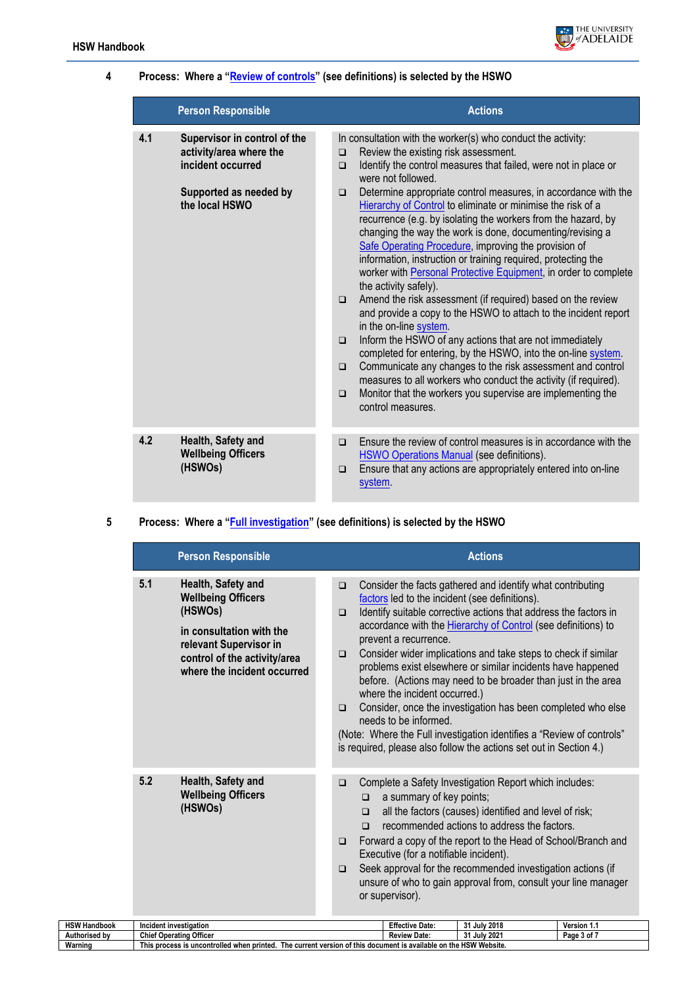

#### **4 Process: Where a ["Review of controls"](#page-5-2) (see definitions) is selected by the HSWO**

|     | <b>Person Responsible</b>                                                                                                | <b>Actions</b>                                                                                                                                                                                                                                                                                                                                                                                                                                                                                                                                                                                                                                                                                                                                                                                                                                                                                                                                                                                                                                                                                                                                                                                                                                                       |
|-----|--------------------------------------------------------------------------------------------------------------------------|----------------------------------------------------------------------------------------------------------------------------------------------------------------------------------------------------------------------------------------------------------------------------------------------------------------------------------------------------------------------------------------------------------------------------------------------------------------------------------------------------------------------------------------------------------------------------------------------------------------------------------------------------------------------------------------------------------------------------------------------------------------------------------------------------------------------------------------------------------------------------------------------------------------------------------------------------------------------------------------------------------------------------------------------------------------------------------------------------------------------------------------------------------------------------------------------------------------------------------------------------------------------|
| 4.1 | Supervisor in control of the<br>activity/area where the<br>incident occurred<br>Supported as needed by<br>the local HSWO | In consultation with the worker(s) who conduct the activity:<br>Review the existing risk assessment.<br>$\Box$<br>Identify the control measures that failed, were not in place or<br>$\Box$<br>were not followed.<br>Determine appropriate control measures, in accordance with the<br>$\Box$<br>Hierarchy of Control to eliminate or minimise the risk of a<br>recurrence (e.g. by isolating the workers from the hazard, by<br>changing the way the work is done, documenting/revising a<br>Safe Operating Procedure, improving the provision of<br>information, instruction or training required, protecting the<br>worker with Personal Protective Equipment, in order to complete<br>the activity safely).<br>Amend the risk assessment (if required) based on the review<br>$\Box$<br>and provide a copy to the HSWO to attach to the incident report<br>in the on-line system.<br>Inform the HSWO of any actions that are not immediately<br>$\Box$<br>completed for entering, by the HSWO, into the on-line system.<br>Communicate any changes to the risk assessment and control<br>$\Box$<br>measures to all workers who conduct the activity (if required).<br>Monitor that the workers you supervise are implementing the<br>$\Box$<br>control measures. |
| 4.2 | Health, Safety and<br><b>Wellbeing Officers</b><br>(HSWOs)                                                               | Ensure the review of control measures is in accordance with the<br>$\Box$<br><b>HSWO Operations Manual (see definitions).</b><br>Ensure that any actions are appropriately entered into on-line<br>$\Box$<br>system.                                                                                                                                                                                                                                                                                                                                                                                                                                                                                                                                                                                                                                                                                                                                                                                                                                                                                                                                                                                                                                                 |

## **5 Process: Where a ["Full investigation"](#page-5-3) (see definitions) is selected by the HSWO**

**Warning This process is uncontrolled when printed. The current version of this document is available on the HSW Website.**

| 5.1<br>Health, Safety and<br>Consider the facts gathered and identify what contributing<br>$\Box$<br><b>Wellbeing Officers</b><br>factors led to the incident (see definitions).<br>(HSWOs)<br>Identify suitable corrective actions that address the factors in<br>$\Box$<br>accordance with the Hierarchy of Control (see definitions) to<br>in consultation with the<br>prevent a recurrence.<br>relevant Supervisor in<br>Consider wider implications and take steps to check if similar<br>$\Box$<br>control of the activity/area<br>problems exist elsewhere or similar incidents have happened<br>where the incident occurred<br>before. (Actions may need to be broader than just in the area<br>where the incident occurred.)<br>$\Box$<br>needs to be informed.<br>(Note: Where the Full investigation identifies a "Review of controls"<br>is required, please also follow the actions set out in Section 4.)<br>5.2<br>Health, Safety and<br>Complete a Safety Investigation Report which includes:<br>$\Box$<br><b>Wellbeing Officers</b><br>a summary of key points;<br>$\Box$<br>(HSWOs)<br>all the factors (causes) identified and level of risk;<br>$\Box$<br>recommended actions to address the factors.<br>$\Box$<br>Forward a copy of the report to the Head of School/Branch and<br>$\Box$<br>Executive (for a notifiable incident).<br>Seek approval for the recommended investigation actions (if<br>$\Box$<br>unsure of who to gain approval from, consult your line manager<br>or supervisor).<br><b>HSW Handbook</b><br>Incident investigation |  |  | <b>Person Responsible</b> | <b>Actions</b> |                                                              |                        |              |             |  |
|-------------------------------------------------------------------------------------------------------------------------------------------------------------------------------------------------------------------------------------------------------------------------------------------------------------------------------------------------------------------------------------------------------------------------------------------------------------------------------------------------------------------------------------------------------------------------------------------------------------------------------------------------------------------------------------------------------------------------------------------------------------------------------------------------------------------------------------------------------------------------------------------------------------------------------------------------------------------------------------------------------------------------------------------------------------------------------------------------------------------------------------------------------------------------------------------------------------------------------------------------------------------------------------------------------------------------------------------------------------------------------------------------------------------------------------------------------------------------------------------------------------------------------------------------------------------------|--|--|---------------------------|----------------|--------------------------------------------------------------|------------------------|--------------|-------------|--|
|                                                                                                                                                                                                                                                                                                                                                                                                                                                                                                                                                                                                                                                                                                                                                                                                                                                                                                                                                                                                                                                                                                                                                                                                                                                                                                                                                                                                                                                                                                                                                                         |  |  |                           |                | Consider, once the investigation has been completed who else |                        |              |             |  |
|                                                                                                                                                                                                                                                                                                                                                                                                                                                                                                                                                                                                                                                                                                                                                                                                                                                                                                                                                                                                                                                                                                                                                                                                                                                                                                                                                                                                                                                                                                                                                                         |  |  |                           |                |                                                              |                        |              |             |  |
| Authorised bv<br><b>Chief Operating Officer</b><br>31 July 2021<br>Page 3 of 7<br><b>Review Date:</b>                                                                                                                                                                                                                                                                                                                                                                                                                                                                                                                                                                                                                                                                                                                                                                                                                                                                                                                                                                                                                                                                                                                                                                                                                                                                                                                                                                                                                                                                   |  |  |                           |                |                                                              | <b>Effective Date:</b> | 31 July 2018 | Version 1.1 |  |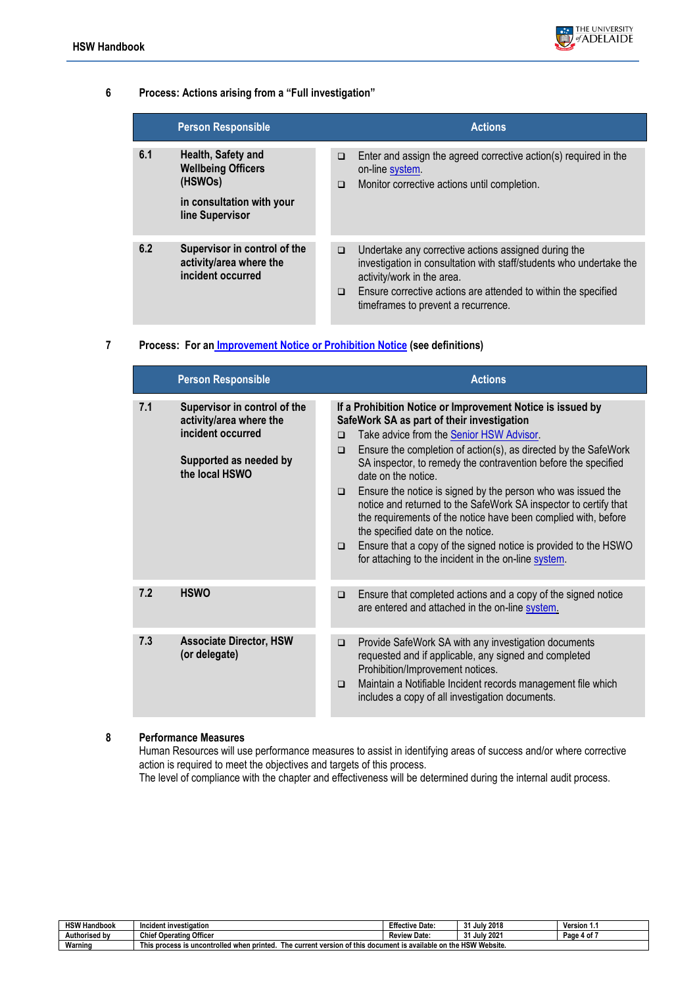

#### **6 Process: Actions arising from a "Full investigation"**

|     | <b>Person Responsible</b>                                                                                  |                  | <b>Actions</b>                                                                                                                                                                                                                                                     |
|-----|------------------------------------------------------------------------------------------------------------|------------------|--------------------------------------------------------------------------------------------------------------------------------------------------------------------------------------------------------------------------------------------------------------------|
| 6.1 | Health, Safety and<br><b>Wellbeing Officers</b><br>(HSWOs)<br>in consultation with your<br>line Supervisor | $\Box$<br>$\Box$ | Enter and assign the agreed corrective action(s) required in the<br>on-line system.<br>Monitor corrective actions until completion.                                                                                                                                |
| 6.2 | Supervisor in control of the<br>activity/area where the<br>incident occurred                               | $\Box$<br>$\Box$ | Undertake any corrective actions assigned during the<br>investigation in consultation with staff/students who undertake the<br>activity/work in the area.<br>Ensure corrective actions are attended to within the specified<br>timeframes to prevent a recurrence. |

#### **7 Process: For an [Improvement Notice or](#page-4-4) Prohibition Notice (see definitions)**

|     | <b>Person Responsible</b>                                                                                                | <b>Actions</b>                                                                                                                                                                                                                                                                                                                                                                                                                                                                                                                                                                                                                                                                                                                 |
|-----|--------------------------------------------------------------------------------------------------------------------------|--------------------------------------------------------------------------------------------------------------------------------------------------------------------------------------------------------------------------------------------------------------------------------------------------------------------------------------------------------------------------------------------------------------------------------------------------------------------------------------------------------------------------------------------------------------------------------------------------------------------------------------------------------------------------------------------------------------------------------|
| 7.1 | Supervisor in control of the<br>activity/area where the<br>incident occurred<br>Supported as needed by<br>the local HSWO | If a Prohibition Notice or Improvement Notice is issued by<br>SafeWork SA as part of their investigation<br>Take advice from the Senior HSW Advisor.<br>$\Box$<br>Ensure the completion of action(s), as directed by the SafeWork<br>$\Box$<br>SA inspector, to remedy the contravention before the specified<br>date on the notice.<br>Ensure the notice is signed by the person who was issued the<br>$\Box$<br>notice and returned to the SafeWork SA inspector to certify that<br>the requirements of the notice have been complied with, before<br>the specified date on the notice.<br>Ensure that a copy of the signed notice is provided to the HSWO<br>$\Box$<br>for attaching to the incident in the on-line system. |
| 7.2 | <b>HSWO</b>                                                                                                              | Ensure that completed actions and a copy of the signed notice<br>$\Box$<br>are entered and attached in the on-line system.                                                                                                                                                                                                                                                                                                                                                                                                                                                                                                                                                                                                     |
| 7.3 | <b>Associate Director, HSW</b><br>(or delegate)                                                                          | Provide SafeWork SA with any investigation documents<br>$\Box$<br>requested and if applicable, any signed and completed<br>Prohibition/Improvement notices.<br>Maintain a Notifiable Incident records management file which<br>$\Box$<br>includes a copy of all investigation documents.                                                                                                                                                                                                                                                                                                                                                                                                                                       |

### **8 Performance Measures**

Human Resources will use performance measures to assist in identifying areas of success and/or where corrective action is required to meet the objectives and targets of this process. The level of compliance with the chapter and effectiveness will be determined during the internal audit process.

| <b>HSW H</b><br>Handbook | Incident investigation                                                            | <b>Effective Date:</b>                      | 2018<br>24<br>. Julv<br>u          | <b>Version 1</b> |
|--------------------------|-----------------------------------------------------------------------------------|---------------------------------------------|------------------------------------|------------------|
| Authorised by            | Officer<br>Chief<br>f Operating                                                   | <b>Review</b><br>Date:                      | July 2021<br>24<br>$\cdot$ $\cdot$ | 4 of<br>Page     |
| Warning                  | The current version of this<br>Thi:<br>s uncontrolled when printed.<br>process is | s document is available on the HSW Website. |                                    |                  |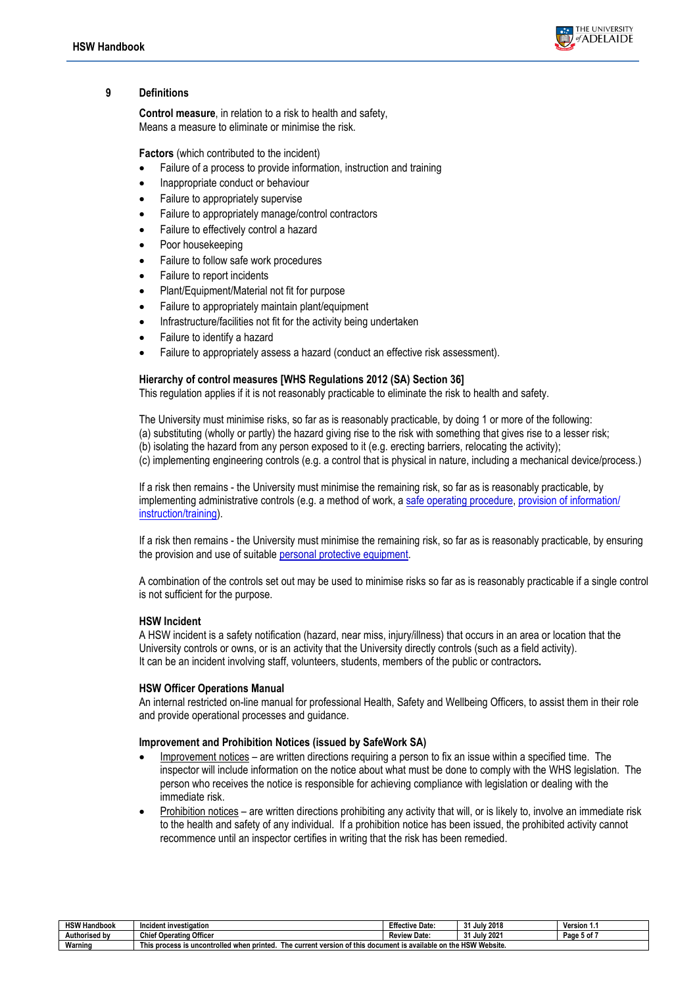

#### **9 Definitions**

<span id="page-4-1"></span>**Control measure**, in relation to a risk to health and safety, Means a measure to eliminate or minimise the risk.

<span id="page-4-3"></span>**Factors** (which contributed to the incident)

- Failure of a process to provide information, instruction and training
- Inappropriate conduct or behaviour
- Failure to appropriately supervise
- Failure to appropriately manage/control contractors
- Failure to effectively control a hazard
- Poor housekeeping
- Failure to follow safe work procedures
- Failure to report incidents
- Plant/Equipment/Material not fit for purpose
- Failure to appropriately maintain plant/equipment
- Infrastructure/facilities not fit for the activity being undertaken
- Failure to identify a hazard
- Failure to appropriately assess a hazard (conduct an effective risk assessment).

#### <span id="page-4-2"></span>**Hierarchy of control measures [WHS Regulations 2012 (SA) Section 36]**

This regulation applies if it is not reasonably practicable to eliminate the risk to health and safety.

The University must minimise risks, so far as is reasonably practicable, by doing 1 or more of the following:

- (a) substituting (wholly or partly) the hazard giving rise to the risk with something that gives rise to a lesser risk;
- (b) isolating the hazard from any person exposed to it (e.g. erecting barriers, relocating the activity);
- (c) implementing engineering controls (e.g. a control that is physical in nature, including a mechanical device/process.)

If a risk then remains - the University must minimise the remaining risk, so far as is reasonably practicable, by implementing administrative controls (e.g. a method of work, a [safe operating procedure,](https://www.adelaide.edu.au/hr/hsw/hsw-faqs/hazard-management-faqs) [provision of information/](https://www.adelaide.edu.au/hr/hsw/hsw-policy-handbook/hsw-information-instruction-training-handbook-chapter) [instruction/training\)](https://www.adelaide.edu.au/hr/hsw/hsw-policy-handbook/hsw-information-instruction-training-handbook-chapter).

If a risk then remains - the University must minimise the remaining risk, so far as is reasonably practicable, by ensuring the provision and use of suitable [personal protective equipment.](https://www.adelaide.edu.au/hr/hsw/hsw-policy-handbook/personal-protective-equipment-handbook-chapter)

A combination of the controls set out may be used to minimise risks so far as is reasonably practicable if a single control is not sufficient for the purpose.

#### <span id="page-4-0"></span>**HSW Incident**

A HSW incident is a safety notification (hazard, near miss, injury/illness) that occurs in an area or location that the University controls or owns, or is an activity that the University directly controls (such as a field activity). It can be an incident involving staff, volunteers, students, members of the public or contractors**.**

#### **HSW Officer Operations Manual**

An internal restricted on-line manual for professional Health, Safety and Wellbeing Officers, to assist them in their role and provide operational processes and guidance.

#### <span id="page-4-4"></span>**Improvement and Prohibition Notices (issued by SafeWork SA)**

- Improvement notices are written directions requiring a person to fix an issue within a specified time. The inspector will include information on the notice about what must be done to comply with the WHS legislation. The person who receives the notice is responsible for achieving compliance with legislation or dealing with the immediate risk.
- Prohibition notices are written directions prohibiting any activity that will, or is likely to, involve an immediate risk to the health and safety of any individual. If a prohibition notice has been issued, the prohibited activity cannot recommence until an inspector certifies in writing that the risk has been remedied.

| <b>HSW Handbook</b> | Incident investigation                                                                                | <b>Effective Date:</b>                      | I July 2018<br>$^{\circ}$ | Version 1.      |
|---------------------|-------------------------------------------------------------------------------------------------------|---------------------------------------------|---------------------------|-----------------|
| Authorised by       | of Operating Officer<br>Chief                                                                         | <b>Review</b><br>Date:                      | July 2021<br>$^{\circ}$   | ∍5 of ∂<br>Page |
| $\cdots$<br>Narning | $\overline{\phantom{a}}$<br>The current version of this<br>This process is uncontrolled when printed. | s document is available on the HSW Website. |                           |                 |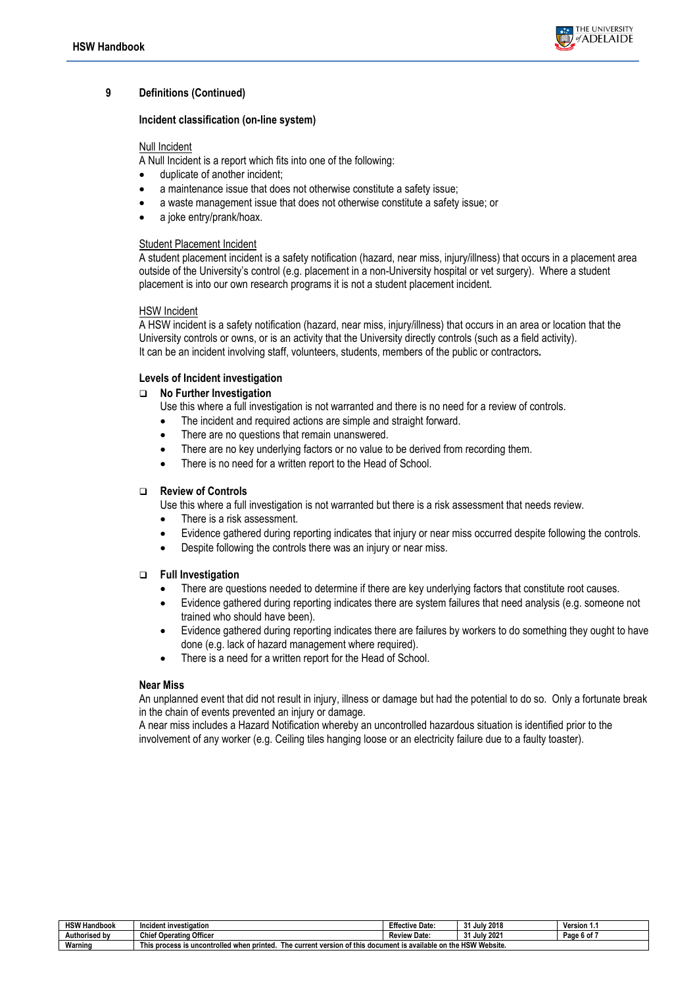

#### **9 Definitions (Continued)**

#### <span id="page-5-1"></span>**Incident classification (on-line system)**

#### Null Incident

A Null Incident is a report which fits into one of the following:

- duplicate of another incident;
- a maintenance issue that does not otherwise constitute a safety issue;
- a waste management issue that does not otherwise constitute a safety issue; or
- a joke entry/prank/hoax.

#### Student Placement Incident

A student placement incident is a safety notification (hazard, near miss, injury/illness) that occurs in a placement area outside of the University's control (e.g. placement in a non-University hospital or vet surgery). Where a student placement is into our own research programs it is not a student placement incident.

#### HSW Incident

A HSW incident is a safety notification (hazard, near miss, injury/illness) that occurs in an area or location that the University controls or owns, or is an activity that the University directly controls (such as a field activity). It can be an incident involving staff, volunteers, students, members of the public or contractors**.**

#### <span id="page-5-0"></span>**Levels of Incident investigation**

#### **No Further Investigation**

Use this where a full investigation is not warranted and there is no need for a review of controls.

- The incident and required actions are simple and straight forward.
- There are no questions that remain unanswered.
- There are no key underlying factors or no value to be derived from recording them.
- There is no need for a written report to the Head of School.

#### <span id="page-5-2"></span>**Review of Controls**

Use this where a full investigation is not warranted but there is a risk assessment that needs review.

- There is a risk assessment.
- Evidence gathered during reporting indicates that injury or near miss occurred despite following the controls.
- Despite following the controls there was an injury or near miss.

#### <span id="page-5-3"></span>**Full Investigation**

- There are questions needed to determine if there are key underlying factors that constitute root causes.
- Evidence gathered during reporting indicates there are system failures that need analysis (e.g. someone not trained who should have been).
- Evidence gathered during reporting indicates there are failures by workers to do something they ought to have done (e.g. lack of hazard management where required).
- There is a need for a written report for the Head of School.

#### **Near Miss**

An unplanned event that did not result in injury, illness or damage but had the potential to do so. Only a fortunate break in the chain of events prevented an injury or damage.

A near miss includes a Hazard Notification whereby an uncontrolled hazardous situation is identified prior to the involvement of any worker (e.g. Ceiling tiles hanging loose or an electricity failure due to a faulty toaster).

| <b>HSW Handbook</b> | Incident investigation                                                                                                                           | <b>Effective Date:</b> | I July 2018<br><br>، س               | Version 1.         |  |
|---------------------|--------------------------------------------------------------------------------------------------------------------------------------------------|------------------------|--------------------------------------|--------------------|--|
| Authorised by       | Officer<br>Chief<br>f Operating                                                                                                                  | <b>Review Date:</b>    | <b>July 2021</b><br>$^{\circ}$<br>٠. | . .<br>Page 6 of a |  |
| Warning             | <b>This</b><br>s document is available on the HSW Website.<br>t version of this<br>trolled when printed.<br>process is uncontr<br>The<br>current |                        |                                      |                    |  |